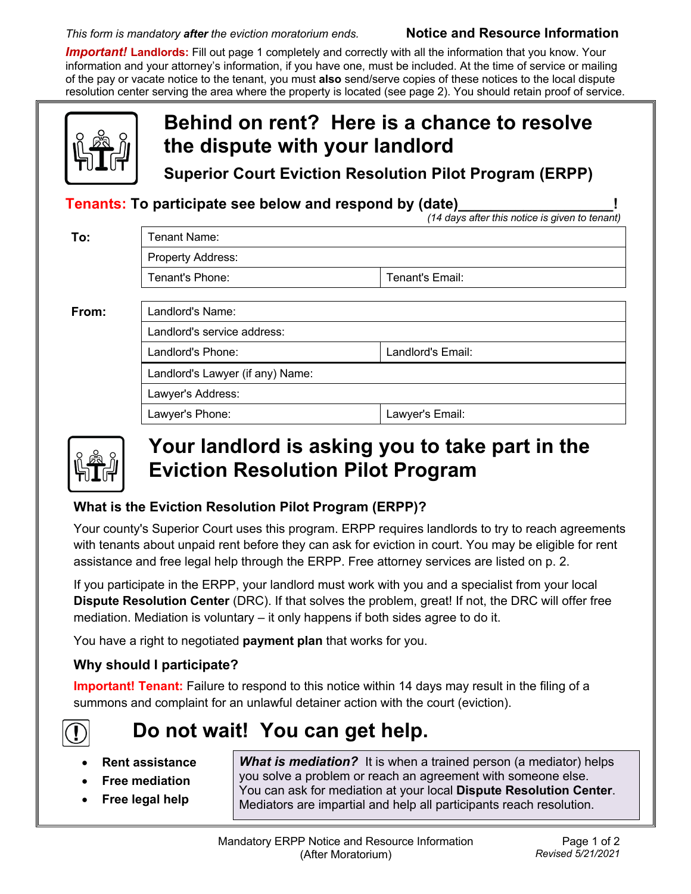#### *This form is mandatory after the eviction moratorium ends.* **Notice and Resource Information**

*Important!* **Landlords:** Fill out page 1 completely and correctly with all the information that you know. Your information and your attorney's information, if you have one, must be included. At the time of service or mailing of the pay or vacate notice to the tenant, you must **also** send/serve copies of these notices to the local dispute resolution center serving the area where the property is located (see page 2). You should retain proof of service.

|                                                                                                                  | Behind on rent? Here is a chance to resolve<br>the dispute with your landlord<br><b>Superior Court Eviction Resolution Pilot Program (ERPP)</b> |                   |
|------------------------------------------------------------------------------------------------------------------|-------------------------------------------------------------------------------------------------------------------------------------------------|-------------------|
| <b>Tenants: To participate see below and respond by (date)</b><br>(14 days after this notice is given to tenant) |                                                                                                                                                 |                   |
| To:                                                                                                              | Tenant Name:                                                                                                                                    |                   |
|                                                                                                                  | <b>Property Address:</b>                                                                                                                        |                   |
|                                                                                                                  | Tenant's Phone:                                                                                                                                 | Tenant's Email:   |
| From:                                                                                                            | Landlord's Name:<br>Landlord's service address:                                                                                                 |                   |
|                                                                                                                  |                                                                                                                                                 |                   |
|                                                                                                                  | Landlord's Phone:                                                                                                                               | Landlord's Email: |
|                                                                                                                  | Landlord's Lawyer (if any) Name:                                                                                                                |                   |
|                                                                                                                  | Lawyer's Address:                                                                                                                               |                   |
|                                                                                                                  | Lawyer's Phone:                                                                                                                                 | Lawyer's Email:   |



## **Your landlord is asking you to take part in the Eviction Resolution Pilot Program**

### **What is the Eviction Resolution Pilot Program (ERPP)?**

Your county's Superior Court uses this program. ERPP requires landlords to try to reach agreements with tenants about unpaid rent before they can ask for eviction in court. You may be eligible for rent assistance and free legal help through the ERPP. Free attorney services are listed on p. 2.

If you participate in the ERPP, your landlord must work with you and a specialist from your local **Dispute Resolution Center** (DRC). If that solves the problem, great! If not, the DRC will offer free mediation. Mediation is voluntary – it only happens if both sides agree to do it.

You have a right to negotiated **payment plan** that works for you.

## **Why should I participate?**

**Important! Tenant:** Failure to respond to this notice within 14 days may result in the filing of a summons and complaint for an unlawful detainer action with the court (eviction).



# **Do not wait! You can get help.**

- **Rent assistance**
- **Free mediation**
- **Free legal help**

**What is mediation?** It is when a trained person (a mediator) helps you solve a problem or reach an agreement with someone else. You can ask for mediation at your local **Dispute Resolution Center**. Mediators are impartial and help all participants reach resolution.